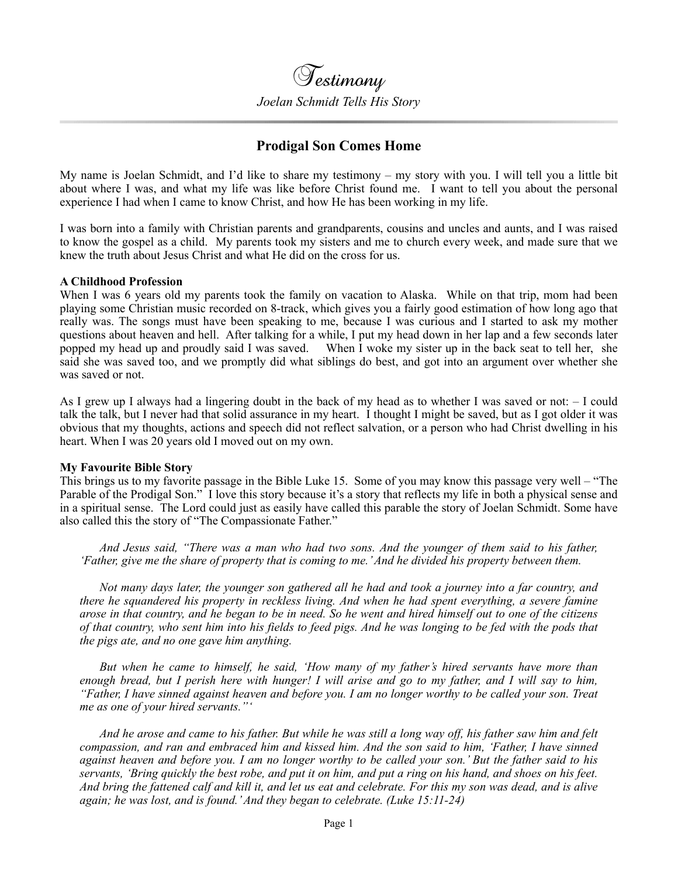

# **Prodigal Son Comes Home**

My name is Joelan Schmidt, and I'd like to share my testimony – my story with you. I will tell you a little bit about where I was, and what my life was like before Christ found me. I want to tell you about the personal experience I had when I came to know Christ, and how He has been working in my life.

I was born into a family with Christian parents and grandparents, cousins and uncles and aunts, and I was raised to know the gospel as a child. My parents took my sisters and me to church every week, and made sure that we knew the truth about Jesus Christ and what He did on the cross for us.

## **A Childhood Profession**

When I was 6 years old my parents took the family on vacation to Alaska. While on that trip, mom had been playing some Christian music recorded on 8-track, which gives you a fairly good estimation of how long ago that really was. The songs must have been speaking to me, because I was curious and I started to ask my mother questions about heaven and hell. After talking for a while, I put my head down in her lap and a few seconds later popped my head up and proudly said I was saved. When I woke my sister up in the back seat to tell her, she said she was saved too, and we promptly did what siblings do best, and got into an argument over whether she was saved or not.

As I grew up I always had a lingering doubt in the back of my head as to whether I was saved or not: – I could talk the talk, but I never had that solid assurance in my heart. I thought I might be saved, but as I got older it was obvious that my thoughts, actions and speech did not reflect salvation, or a person who had Christ dwelling in his heart. When I was 20 years old I moved out on my own.

#### **My Favourite Bible Story**

This brings us to my favorite passage in the Bible Luke 15. Some of you may know this passage very well – "The Parable of the Prodigal Son." I love this story because it's a story that reflects my life in both a physical sense and in a spiritual sense. The Lord could just as easily have called this parable the story of Joelan Schmidt. Some have also called this the story of "The Compassionate Father."

*And Jesus said, "There was a man who had two sons. And the younger of them said to his father, 'Father, give me the share of property that is coming to me.' And he divided his property between them.*

*Not many days later, the younger son gathered all he had and took a journey into a far country, and there he squandered his property in reckless living. And when he had spent everything, a severe famine arose in that country, and he began to be in need. So he went and hired himself out to one of the citizens of that country, who sent him into his fields to feed pigs. And he was longing to be fed with the pods that the pigs ate, and no one gave him anything.*

*But when he came to himself, he said, 'How many of my father's hired servants have more than enough bread, but I perish here with hunger! I will arise and go to my father, and I will say to him, "Father, I have sinned against heaven and before you. I am no longer worthy to be called your son. Treat me as one of your hired servants."'*

*And he arose and came to his father. But while he was still a long way off, his father saw him and felt compassion, and ran and embraced him and kissed him. And the son said to him, 'Father, I have sinned against heaven and before you. I am no longer worthy to be called your son.' But the father said to his servants, 'Bring quickly the best robe, and put it on him, and put a ring on his hand, and shoes on his feet. And bring the fattened calf and kill it, and let us eat and celebrate. For this my son was dead, and is alive again; he was lost, and is found.' And they began to celebrate. (Luke 15:11-24)*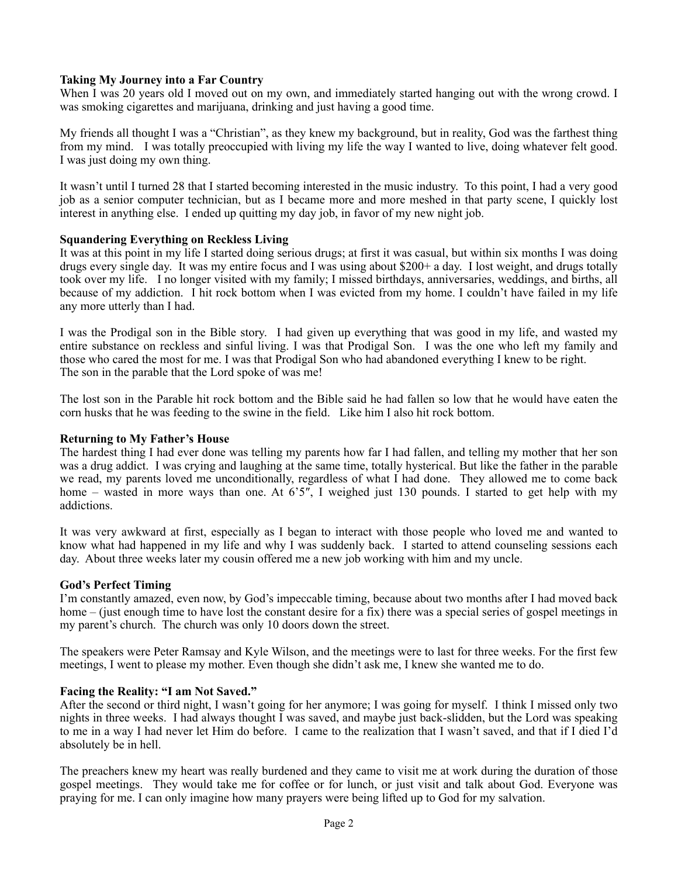# **Taking My Journey into a Far Country**

When I was 20 years old I moved out on my own, and immediately started hanging out with the wrong crowd. I was smoking cigarettes and marijuana, drinking and just having a good time.

My friends all thought I was a "Christian", as they knew my background, but in reality, God was the farthest thing from my mind. I was totally preoccupied with living my life the way I wanted to live, doing whatever felt good. I was just doing my own thing.

It wasn't until I turned 28 that I started becoming interested in the music industry. To this point, I had a very good job as a senior computer technician, but as I became more and more meshed in that party scene, I quickly lost interest in anything else. I ended up quitting my day job, in favor of my new night job.

## **Squandering Everything on Reckless Living**

It was at this point in my life I started doing serious drugs; at first it was casual, but within six months I was doing drugs every single day. It was my entire focus and I was using about \$200+ a day. I lost weight, and drugs totally took over my life. I no longer visited with my family; I missed birthdays, anniversaries, weddings, and births, all because of my addiction. I hit rock bottom when I was evicted from my home. I couldn't have failed in my life any more utterly than I had.

I was the Prodigal son in the Bible story. I had given up everything that was good in my life, and wasted my entire substance on reckless and sinful living. I was that Prodigal Son. I was the one who left my family and those who cared the most for me. I was that Prodigal Son who had abandoned everything I knew to be right. The son in the parable that the Lord spoke of was me!

The lost son in the Parable hit rock bottom and the Bible said he had fallen so low that he would have eaten the [co](https://www.heaven4sure.com/subscribe/)rn husks that he was feeding to the swine in the field. Like him I also hit rock bottom.

## **Returning to My Father's House**

The hardest thing I had ever done was telling my parents how far I had fallen, and telling my mother that her son was a drug addict. I was crying and laughing at the same time, totally hysterical. But like the father in the parable we read, my parents loved me unconditionally, regardless of what I had done. They allowed me to come back home – wasted in more ways than one. At 6'5", I weighed just 130 pounds. I started to get help with my addictions.

It was very awkward at first, especially as I began to interact with those people who loved me and wanted to know what had happened in my life and why I was suddenly back. I started to attend counseling sessions each day. About three weeks later my cousin offered me a new job working with him and my uncle.

#### **God's Perfect Timing**

I'm constantly amazed, even now, by God's impeccable timing, because about two months after I had moved back home – (just enough time to have lost the constant desire for a fix) there was a special series of gospel meetings in my parent's church. The church was only 10 doors down the street.

The speakers were Peter Ramsay and Kyle Wilson, and the meetings were to last for three weeks. For the first few meetings, I went to please my mother. Even though she didn't ask me, I knew she wanted me to do.

# **Facing the Reality: "I am Not Saved."**

After the second or third night, I wasn't going for her anymore; I was going for myself. I think I missed only two nights in three weeks. I had always thought I was saved, and maybe just back-slidden, but the Lord was speaking to me in a way I had never let Him do before. I came to the realization that I wasn't saved, and that if I died I'd absolutely be in hell.

The preachers knew my heart was really burdened and they came to visit me at work during the duration of those gospel meetings. They would take me for coffee or for lunch, or just visit and talk about God. Everyone was praying for me. I can only imagine how many prayers were being lifted up to God for my salvation.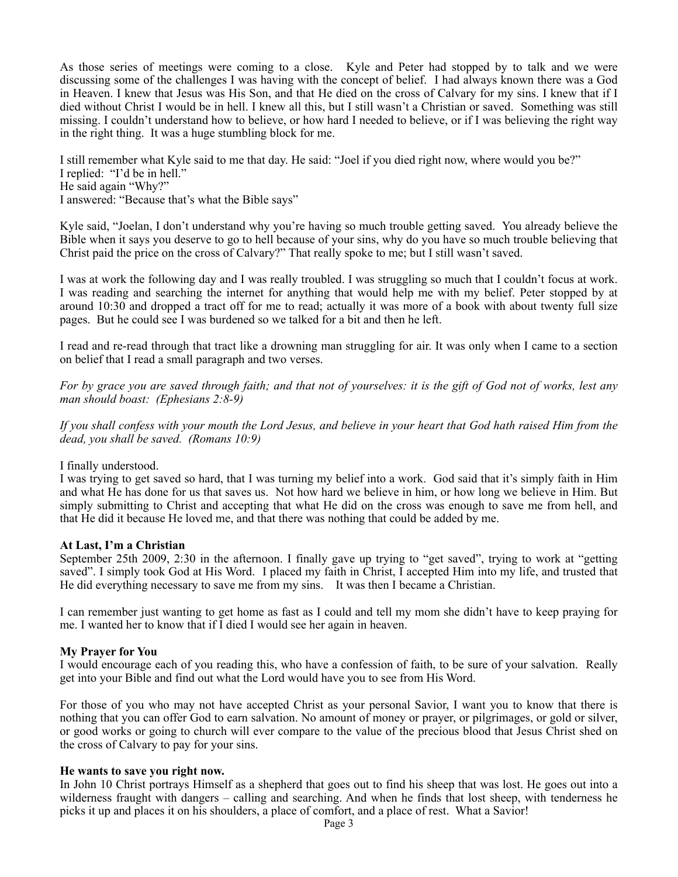As those series of meetings were coming to a close. Kyle and Peter had stopped by to talk and we were discussing some of the challenges I was having with the concept of belief. I had always known there was a God in Heaven. I knew that Jesus was His Son, and that He died on the cross of Calvary for my sins. I knew that if I died without Christ I would be in hell. I knew all this, but I still wasn't a Christian or saved. Something was still missing. I couldn't understand how to believe, or how hard I needed to believe, or if I was believing the right way in the right thing. It was a huge stumbling block for me.

I still remember what Kyle said to me that day. He said: "Joel if you died right now, where would you be?" I replied: "I'd be in hell." He said again "Why?" I answered: "Because that's what the Bible says"

Kyle said, "Joelan, I don't understand why you're having so much trouble getting saved. You already believe the Bible when it says you deserve to go to hell because of your sins, why do you have so much trouble believing that Christ paid the price on the cross of Calvary?" That really spoke to me; but I still wasn't saved.

I was at work the following day and I was really troubled. I was struggling so much that I couldn't focus at work. I was reading and searching the internet for anything that would help me with my belief. Peter stopped by at around 10:30 and dropped a tract off for me to read; actually it was more of a book with about twenty full size pages. But he could see I was burdened so we talked for a bit and then he left.

I read and re-read through that tract like a drowning man struggling for air. It was only when I came to a section on belief that I read a small paragraph and two verses.

*For by grace you are saved through faith; and that not of yourselves: it is the gift of God not of works, lest any man should boast: (Ephesians 2:8-9)*

*If you shall confess with your mouth the Lord Jesus, and believe in your heart that God hath raised Him from the dead, you shall be saved. (Romans 10:9)*

I finally understood.

I was trying to get saved so hard, that I was turning my belief into a work. God said that it's simply faith in Him and what He has done for us that saves us. Not how hard we believe in him, or how long we believe in Him. But simply submitting to Christ and accepting that what He did on the cross was enough to save me from hell, and that He did it because He loved me, and that there was nothing that could be added by me.

# **At Last, I'm a Christian**

September 25th 2009, 2:30 in the afternoon. I finally gave up trying to "get saved", trying to work at "getting saved". I simply took God at His Word. I placed my faith in Christ, I accepted Him into my life, and trusted that He did everything necessary to save me from my sins. It was then I became a Christian.

I can remember just wanting to get home as fast as I could and tell my mom she didn't have to keep praying for me. I wanted her to know that if I died I would see her again in heaven.

#### **My Prayer for You**

I would encourage each of you reading this, who have a confession of faith, to be sure of your salvation. Really get into your Bible and find out what the Lord would have you to see from His Word.

For those of you who may not have accepted Christ as your personal Savior, I want you to know that there is nothing that you can offer God to earn salvation. No amount of money or prayer, or pilgrimages, or gold or silver, or good works or going to church will ever compare to the value of the precious blood that Jesus Christ shed on the cross of Calvary to pay for your sins.

#### **He wants to save you right now.**

In John 10 Christ portrays Himself as a shepherd that goes out to find his sheep that was lost. He goes out into a wilderness fraught with dangers – calling and searching. And when he finds that lost sheep, with tenderness he picks it up and places it on his shoulders, a place of comfort, and a place of rest. What a Savior!